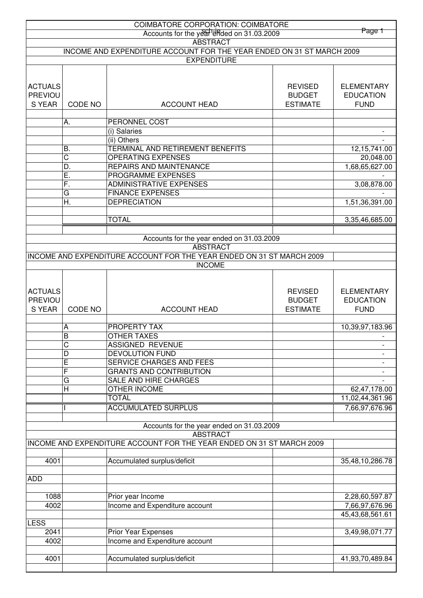|                |                                | <b>COIMBATORE CORPORATION: COIMBATORE</b>                                                |                                  |                                 |
|----------------|--------------------------------|------------------------------------------------------------------------------------------|----------------------------------|---------------------------------|
|                |                                | Accounts for the year effect on 31.03.2009                                               |                                  | Page 1                          |
|                |                                | <b>ABSTRACT</b><br>INCOME AND EXPENDITURE ACCOUNT FOR THE YEAR ENDED ON 31 ST MARCH 2009 |                                  |                                 |
|                |                                | <b>EXPENDITURE</b>                                                                       |                                  |                                 |
|                |                                |                                                                                          |                                  |                                 |
|                |                                |                                                                                          |                                  |                                 |
| <b>ACTUALS</b> |                                |                                                                                          | <b>REVISED</b>                   | <b>ELEMENTARY</b>               |
| <b>PREVIOU</b> |                                |                                                                                          | <b>BUDGET</b><br><b>ESTIMATE</b> | <b>EDUCATION</b><br><b>FUND</b> |
| S YEAR         | CODE NO<br><b>ACCOUNT HEAD</b> |                                                                                          |                                  |                                 |
|                | А.                             | PERONNEL COST                                                                            |                                  |                                 |
|                |                                | (i) Salaries                                                                             |                                  |                                 |
|                |                                | (ii) Others                                                                              |                                  |                                 |
|                | В.                             | TERMINAL AND RETIREMENT BENEFITS                                                         |                                  | 12, 15, 741.00                  |
|                | C                              | <b>OPERATING EXPENSES</b>                                                                |                                  | 20,048.00                       |
|                | D.                             | REPAIRS AND MAINTENANCE                                                                  |                                  | 1,68,65,627.00                  |
|                | Ε.                             | PROGRAMME EXPENSES                                                                       |                                  |                                 |
|                | F.                             | <b>ADMINISTRATIVE EXPENSES</b>                                                           |                                  | 3,08,878.00                     |
|                | G                              | <b>FINANCE EXPENSES</b>                                                                  |                                  |                                 |
|                | Η.                             | <b>DEPRECIATION</b>                                                                      |                                  | 1,51,36,391.00                  |
|                |                                | <b>TOTAL</b>                                                                             |                                  |                                 |
|                |                                |                                                                                          |                                  | 3,35,46,685.00                  |
|                |                                | Accounts for the year ended on 31.03.2009                                                |                                  |                                 |
|                |                                | <b>ABSTRACT</b>                                                                          |                                  |                                 |
|                |                                | INCOME AND EXPENDITURE ACCOUNT FOR THE YEAR ENDED ON 31 ST MARCH 2009                    |                                  |                                 |
|                |                                | <b>INCOME</b>                                                                            |                                  |                                 |
|                |                                |                                                                                          |                                  |                                 |
|                |                                |                                                                                          |                                  |                                 |
| <b>ACTUALS</b> |                                |                                                                                          | <b>REVISED</b>                   | <b>ELEMENTARY</b>               |
| PREVIOU        |                                |                                                                                          | <b>BUDGET</b>                    | <b>EDUCATION</b>                |
|                |                                |                                                                                          |                                  |                                 |
| S YEAR         | CODE NO                        | <b>ACCOUNT HEAD</b>                                                                      | <b>ESTIMATE</b>                  | <b>FUND</b>                     |
|                |                                |                                                                                          |                                  |                                 |
|                | A                              | PROPERTY TAX                                                                             |                                  | 10,39,97,183.96                 |
|                | B                              | <b>OTHER TAXES</b>                                                                       |                                  |                                 |
|                | С                              | <b>ASSIGNED REVENUE</b>                                                                  |                                  | $\qquad \qquad \blacksquare$    |
|                | D                              | <b>DEVOLUTION FUND</b>                                                                   |                                  |                                 |
|                | E                              | <b>SERVICE CHARGES AND FEES</b>                                                          |                                  |                                 |
|                | F<br>G                         | <b>GRANTS AND CONTRIBUTION</b><br>SALE AND HIRE CHARGES                                  |                                  |                                 |
|                | H                              | <b>OTHER INCOME</b>                                                                      |                                  | 62,47,178.00                    |
|                |                                | <b>TOTAL</b>                                                                             |                                  | 11,02,44,361.96                 |
|                |                                | <b>ACCUMULATED SURPLUS</b>                                                               |                                  | 7,66,97,676.96                  |
|                |                                |                                                                                          |                                  |                                 |
|                |                                | Accounts for the year ended on 31.03.2009                                                |                                  |                                 |
|                |                                | <b>ABSTRACT</b>                                                                          |                                  |                                 |
|                |                                | INCOME AND EXPENDITURE ACCOUNT FOR THE YEAR ENDED ON 31 ST MARCH 2009                    |                                  |                                 |
|                |                                |                                                                                          |                                  |                                 |
| 4001           |                                | Accumulated surplus/deficit                                                              |                                  | 35,48,10,286.78                 |
|                |                                |                                                                                          |                                  |                                 |
| <b>ADD</b>     |                                |                                                                                          |                                  |                                 |
|                |                                |                                                                                          |                                  |                                 |
| 1088           |                                | Prior year Income                                                                        |                                  | 2,28,60,597.87                  |
| 4002           |                                | Income and Expenditure account                                                           |                                  | 7,66,97,676.96                  |
| <b>LESS</b>    |                                |                                                                                          |                                  | 45,43,68,561.61                 |
| 2041           |                                | Prior Year Expenses                                                                      |                                  | 3,49,98,071.77                  |
| 4002           |                                | Income and Expenditure account                                                           |                                  |                                 |
|                |                                |                                                                                          |                                  |                                 |
| 4001           |                                | Accumulated surplus/deficit                                                              |                                  | 41,93,70,489.84                 |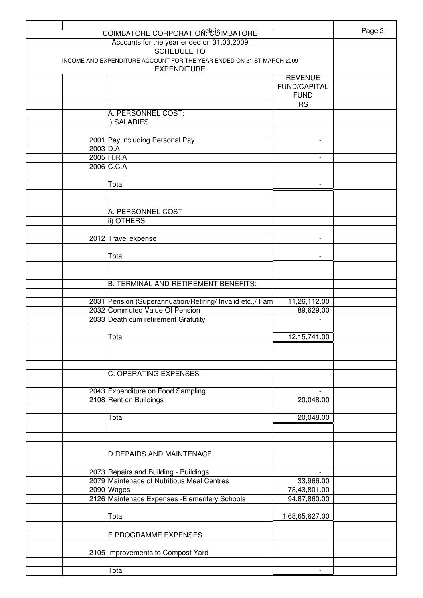|                                                                                             |            | COIMBATORE CORPORATION <sup>C</sup> COIMBATORE                                              |                                                      | Page 2 |
|---------------------------------------------------------------------------------------------|------------|---------------------------------------------------------------------------------------------|------------------------------------------------------|--------|
| Accounts for the year ended on 31.03.2009<br>SCHEDULE TO                                    |            |                                                                                             |                                                      |        |
|                                                                                             |            |                                                                                             |                                                      |        |
| INCOME AND EXPENDITURE ACCOUNT FOR THE YEAR ENDED ON 31 ST MARCH 2009<br><b>EXPENDITURE</b> |            |                                                                                             |                                                      |        |
|                                                                                             |            |                                                                                             | <b>REVENUE</b>                                       |        |
|                                                                                             |            |                                                                                             | <b>FUND/CAPITAL</b>                                  |        |
|                                                                                             |            |                                                                                             | <b>FUND</b>                                          |        |
|                                                                                             |            | A. PERSONNEL COST:                                                                          | <b>RS</b>                                            |        |
|                                                                                             |            | I) SALARIES                                                                                 |                                                      |        |
|                                                                                             |            |                                                                                             |                                                      |        |
|                                                                                             |            | 2001 Pay including Personal Pay                                                             | $\overline{\phantom{a}}$                             |        |
|                                                                                             | $2003$ D.A |                                                                                             | $\overline{\phantom{a}}$                             |        |
|                                                                                             |            | 2005 H.R.A<br>2006 C.C.A                                                                    | $\overline{\phantom{a}}$<br>$\overline{\phantom{a}}$ |        |
|                                                                                             |            |                                                                                             |                                                      |        |
|                                                                                             |            | Total                                                                                       | $\overline{\phantom{a}}$                             |        |
|                                                                                             |            |                                                                                             |                                                      |        |
|                                                                                             |            |                                                                                             |                                                      |        |
|                                                                                             |            | A. PERSONNEL COST                                                                           |                                                      |        |
|                                                                                             |            | ii) OTHERS                                                                                  |                                                      |        |
|                                                                                             |            | 2012 Travel expense                                                                         | $\overline{\phantom{a}}$                             |        |
|                                                                                             |            |                                                                                             |                                                      |        |
|                                                                                             |            | Total                                                                                       | $\blacksquare$                                       |        |
|                                                                                             |            |                                                                                             |                                                      |        |
|                                                                                             |            |                                                                                             |                                                      |        |
|                                                                                             |            | <b>B. TERMINAL AND RETIREMENT BENEFITS:</b>                                                 |                                                      |        |
|                                                                                             |            |                                                                                             |                                                      |        |
|                                                                                             |            | 2031 Pension (Superannuation/Retiring/ Invalid etc.,/ Fam<br>2032 Commuted Value Of Pension | 11,26,112.00<br>89,629.00                            |        |
|                                                                                             |            | 2033 Death cum retirement Gratutity                                                         |                                                      |        |
|                                                                                             |            |                                                                                             |                                                      |        |
|                                                                                             |            | Total                                                                                       | 12, 15, 741.00                                       |        |
|                                                                                             |            |                                                                                             |                                                      |        |
|                                                                                             |            |                                                                                             |                                                      |        |
|                                                                                             |            |                                                                                             |                                                      |        |
|                                                                                             |            | <b>C. OPERATING EXPENSES</b>                                                                |                                                      |        |
|                                                                                             |            | 2043 Expenditure on Food Sampling                                                           |                                                      |        |
|                                                                                             |            | 2108 Rent on Buildings                                                                      | 20,048.00                                            |        |
|                                                                                             |            |                                                                                             |                                                      |        |
|                                                                                             |            | Total                                                                                       | 20,048.00                                            |        |
|                                                                                             |            |                                                                                             |                                                      |        |
|                                                                                             |            |                                                                                             |                                                      |        |
|                                                                                             |            | <b>D.REPAIRS AND MAINTENACE</b>                                                             |                                                      |        |
|                                                                                             |            |                                                                                             |                                                      |        |
|                                                                                             |            | 2073 Repairs and Building - Buildings                                                       |                                                      |        |
|                                                                                             |            | 2079 Maintenace of Nutritious Meal Centres                                                  | 33,966.00                                            |        |
|                                                                                             |            | 2090 Wages                                                                                  | 73,43,801.00                                         |        |
|                                                                                             |            | 2126 Maintenace Expenses - Elementary Schools                                               | 94,87,860.00                                         |        |
|                                                                                             |            | Total                                                                                       | 1,68,65,627.00                                       |        |
|                                                                                             |            |                                                                                             |                                                      |        |
|                                                                                             |            | <b>E.PROGRAMME EXPENSES</b>                                                                 |                                                      |        |
|                                                                                             |            |                                                                                             |                                                      |        |
|                                                                                             |            | 2105 Improvements to Compost Yard                                                           | $\overline{\phantom{a}}$                             |        |
|                                                                                             |            |                                                                                             |                                                      |        |
|                                                                                             |            | Total                                                                                       | $\overline{\phantom{a}}$                             |        |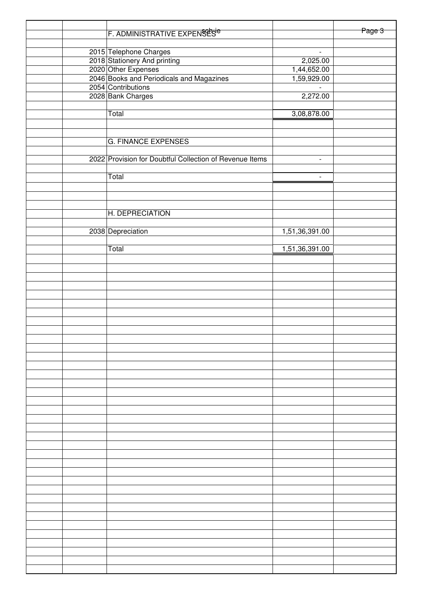|  | F. ADMINISTRATIVE EXPENSES                              |                          | Page 3 |
|--|---------------------------------------------------------|--------------------------|--------|
|  | 2015 Telephone Charges                                  | $\sim$                   |        |
|  | 2018 Stationery And printing                            | 2,025.00                 |        |
|  | 2020 Other Expenses                                     | 1,44,652.00              |        |
|  | 2046 Books and Periodicals and Magazines                | 1,59,929.00              |        |
|  | 2054 Contributions                                      |                          |        |
|  | 2028 Bank Charges                                       | 2,272.00                 |        |
|  |                                                         |                          |        |
|  | Total                                                   | 3,08,878.00              |        |
|  |                                                         |                          |        |
|  |                                                         |                          |        |
|  | <b>G. FINANCE EXPENSES</b>                              |                          |        |
|  |                                                         |                          |        |
|  | 2022 Provision for Doubtful Collection of Revenue Items | $\overline{\phantom{a}}$ |        |
|  |                                                         |                          |        |
|  | Total                                                   | $\overline{\phantom{a}}$ |        |
|  |                                                         |                          |        |
|  |                                                         |                          |        |
|  |                                                         |                          |        |
|  | H. DEPRECIATION                                         |                          |        |
|  |                                                         |                          |        |
|  |                                                         |                          |        |
|  | 2038 Depreciation                                       | 1,51,36,391.00           |        |
|  | Total                                                   |                          |        |
|  |                                                         | 1,51,36,391.00           |        |
|  |                                                         |                          |        |
|  |                                                         |                          |        |
|  |                                                         |                          |        |
|  |                                                         |                          |        |
|  |                                                         |                          |        |
|  |                                                         |                          |        |
|  |                                                         |                          |        |
|  |                                                         |                          |        |
|  |                                                         |                          |        |
|  |                                                         |                          |        |
|  |                                                         |                          |        |
|  |                                                         |                          |        |
|  |                                                         |                          |        |
|  |                                                         |                          |        |
|  |                                                         |                          |        |
|  |                                                         |                          |        |
|  |                                                         |                          |        |
|  |                                                         |                          |        |
|  |                                                         |                          |        |
|  |                                                         |                          |        |
|  |                                                         |                          |        |
|  |                                                         |                          |        |
|  |                                                         |                          |        |
|  |                                                         |                          |        |
|  |                                                         |                          |        |
|  |                                                         |                          |        |
|  |                                                         |                          |        |
|  |                                                         |                          |        |
|  |                                                         |                          |        |
|  |                                                         |                          |        |
|  |                                                         |                          |        |
|  |                                                         |                          |        |
|  |                                                         |                          |        |
|  |                                                         |                          |        |
|  |                                                         |                          |        |
|  |                                                         |                          |        |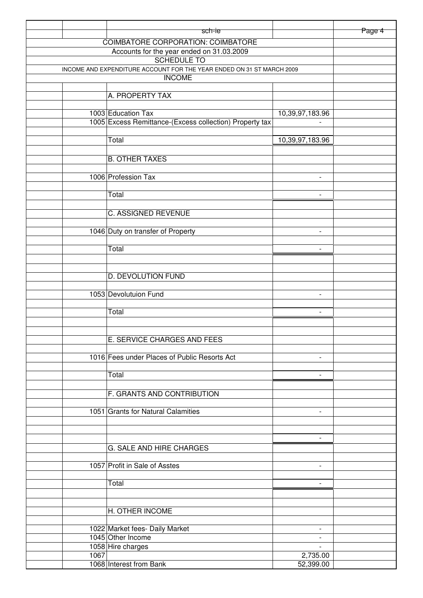|                                                                                        |      | sch-ie                                                  |                                                      | Page 4 |
|----------------------------------------------------------------------------------------|------|---------------------------------------------------------|------------------------------------------------------|--------|
|                                                                                        |      | COIMBATORE CORPORATION: COIMBATORE                      |                                                      |        |
|                                                                                        |      |                                                         |                                                      |        |
|                                                                                        |      |                                                         |                                                      |        |
| INCOME AND EXPENDITURE ACCOUNT FOR THE YEAR ENDED ON 31 ST MARCH 2009<br><b>INCOME</b> |      |                                                         |                                                      |        |
|                                                                                        |      |                                                         |                                                      |        |
|                                                                                        |      | A. PROPERTY TAX                                         |                                                      |        |
|                                                                                        |      | 1003 Education Tax                                      | 10,39,97,183.96                                      |        |
|                                                                                        |      | 1005 Excess Remittance-(Excess collection) Property tax |                                                      |        |
|                                                                                        |      | Total                                                   | 10,39,97,183.96                                      |        |
|                                                                                        |      |                                                         |                                                      |        |
|                                                                                        |      | <b>B. OTHER TAXES</b>                                   |                                                      |        |
|                                                                                        |      | 1006 Profession Tax                                     | $\overline{\phantom{a}}$                             |        |
|                                                                                        |      | Total                                                   | $\blacksquare$                                       |        |
|                                                                                        |      |                                                         |                                                      |        |
|                                                                                        |      | C. ASSIGNED REVENUE                                     |                                                      |        |
|                                                                                        |      | 1046 Duty on transfer of Property                       | $\overline{\phantom{a}}$                             |        |
|                                                                                        |      |                                                         |                                                      |        |
|                                                                                        |      | Total                                                   | $\overline{\phantom{a}}$                             |        |
|                                                                                        |      |                                                         |                                                      |        |
|                                                                                        |      | D. DEVOLUTION FUND                                      |                                                      |        |
|                                                                                        |      | 1053 Devolutuion Fund                                   | $\overline{\phantom{a}}$                             |        |
|                                                                                        |      | Total                                                   | $\overline{\phantom{a}}$                             |        |
|                                                                                        |      |                                                         |                                                      |        |
|                                                                                        |      | E. SERVICE CHARGES AND FEES                             |                                                      |        |
|                                                                                        |      | 1016 Fees under Places of Public Resorts Act            |                                                      |        |
|                                                                                        |      |                                                         |                                                      |        |
|                                                                                        |      | Total                                                   | $\overline{\phantom{0}}$                             |        |
|                                                                                        |      | F. GRANTS AND CONTRIBUTION                              |                                                      |        |
|                                                                                        |      |                                                         |                                                      |        |
|                                                                                        |      | 1051 Grants for Natural Calamities                      | $\overline{\phantom{a}}$                             |        |
|                                                                                        |      |                                                         |                                                      |        |
|                                                                                        |      | G. SALE AND HIRE CHARGES                                | $\overline{\phantom{0}}$                             |        |
|                                                                                        |      |                                                         |                                                      |        |
|                                                                                        |      | 1057 Profit in Sale of Asstes                           | $\overline{\phantom{a}}$                             |        |
|                                                                                        |      | Total                                                   | $\overline{\phantom{a}}$                             |        |
|                                                                                        |      |                                                         |                                                      |        |
|                                                                                        |      | H. OTHER INCOME                                         |                                                      |        |
|                                                                                        |      |                                                         |                                                      |        |
|                                                                                        |      | 1022 Market fees- Daily Market<br>1045 Other Income     | $\overline{\phantom{a}}$<br>$\overline{\phantom{a}}$ |        |
|                                                                                        |      | 1058 Hire charges                                       | $\overline{\phantom{a}}$                             |        |
|                                                                                        | 1067 |                                                         | 2,735.00                                             |        |
|                                                                                        |      | 1068 Interest from Bank                                 | 52,399.00                                            |        |